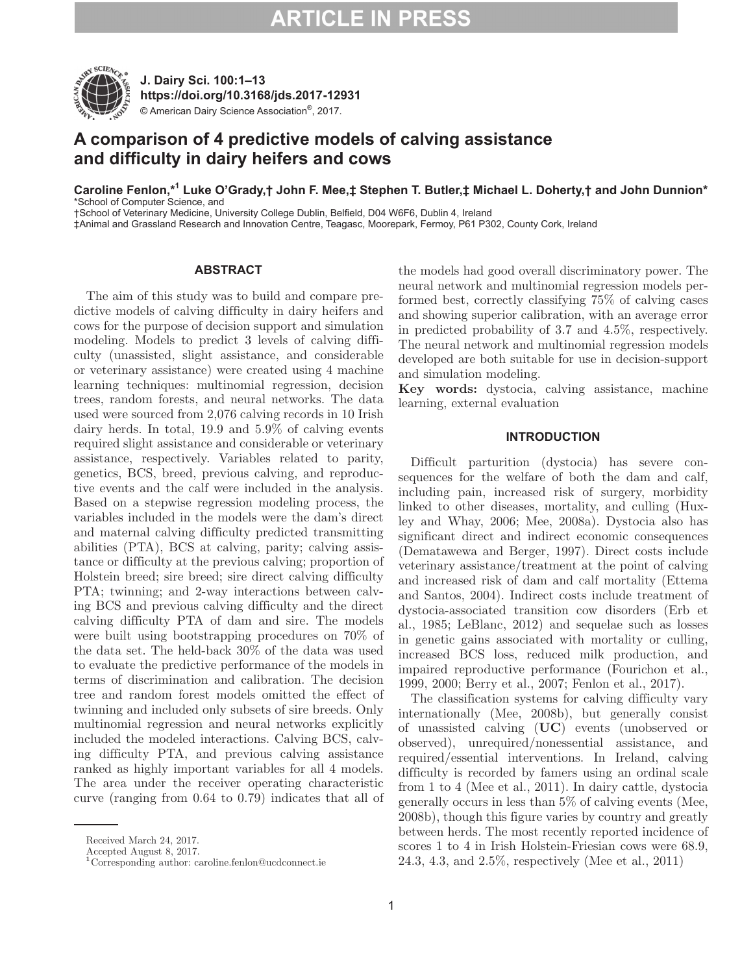

**J. Dairy Sci. 100:1–13 https://doi.org/10.3168/jds.2017-12931** © American Dairy Science Association®, 2017.

### **A comparison of 4 predictive models of calving assistance and difficulty in dairy heifers and cows**

**Caroline Fenlon,\*1 Luke O'Grady,† John F. Mee,‡ Stephen T. Butler,‡ Michael L. Doherty,† and John Dunnion\*** \*School of Computer Science, and

†School of Veterinary Medicine, University College Dublin, Belfield, D04 W6F6, Dublin 4, Ireland ‡Animal and Grassland Research and Innovation Centre, Teagasc, Moorepark, Fermoy, P61 P302, County Cork, Ireland

**ABSTRACT**

The aim of this study was to build and compare predictive models of calving difficulty in dairy heifers and cows for the purpose of decision support and simulation modeling. Models to predict 3 levels of calving difficulty (unassisted, slight assistance, and considerable or veterinary assistance) were created using 4 machine learning techniques: multinomial regression, decision trees, random forests, and neural networks. The data used were sourced from 2,076 calving records in 10 Irish dairy herds. In total, 19.9 and 5.9% of calving events required slight assistance and considerable or veterinary assistance, respectively. Variables related to parity, genetics, BCS, breed, previous calving, and reproductive events and the calf were included in the analysis. Based on a stepwise regression modeling process, the variables included in the models were the dam's direct and maternal calving difficulty predicted transmitting abilities (PTA), BCS at calving, parity; calving assistance or difficulty at the previous calving; proportion of Holstein breed; sire breed; sire direct calving difficulty PTA; twinning; and 2-way interactions between calving BCS and previous calving difficulty and the direct calving difficulty PTA of dam and sire. The models were built using bootstrapping procedures on 70% of the data set. The held-back 30% of the data was used to evaluate the predictive performance of the models in terms of discrimination and calibration. The decision tree and random forest models omitted the effect of twinning and included only subsets of sire breeds. Only multinomial regression and neural networks explicitly included the modeled interactions. Calving BCS, calving difficulty PTA, and previous calving assistance ranked as highly important variables for all 4 models. The area under the receiver operating characteristic curve (ranging from 0.64 to 0.79) indicates that all of the models had good overall discriminatory power. The neural network and multinomial regression models performed best, correctly classifying 75% of calving cases and showing superior calibration, with an average error in predicted probability of 3.7 and 4.5%, respectively. The neural network and multinomial regression models developed are both suitable for use in decision-support and simulation modeling.

**Key words:** dystocia, calving assistance, machine learning, external evaluation

#### **INTRODUCTION**

Difficult parturition (dystocia) has severe consequences for the welfare of both the dam and calf, including pain, increased risk of surgery, morbidity linked to other diseases, mortality, and culling (Huxley and Whay, 2006; Mee, 2008a). Dystocia also has significant direct and indirect economic consequences (Dematawewa and Berger, 1997). Direct costs include veterinary assistance/treatment at the point of calving and increased risk of dam and calf mortality (Ettema and Santos, 2004). Indirect costs include treatment of dystocia-associated transition cow disorders (Erb et al., 1985; LeBlanc, 2012) and sequelae such as losses in genetic gains associated with mortality or culling, increased BCS loss, reduced milk production, and impaired reproductive performance (Fourichon et al., 1999, 2000; Berry et al., 2007; Fenlon et al., 2017).

The classification systems for calving difficulty vary internationally (Mee, 2008b), but generally consist of unassisted calving (**UC**) events (unobserved or observed), unrequired/nonessential assistance, and required/essential interventions. In Ireland, calving difficulty is recorded by famers using an ordinal scale from 1 to 4 (Mee et al., 2011). In dairy cattle, dystocia generally occurs in less than 5% of calving events (Mee, 2008b), though this figure varies by country and greatly between herds. The most recently reported incidence of scores 1 to 4 in Irish Holstein-Friesian cows were 68.9, 24.3, 4.3, and 2.5%, respectively (Mee et al., 2011)

Received March 24, 2017.

Accepted August 8, 2017.

**<sup>1</sup>**Corresponding author: caroline.fenlon@ucdconnect.ie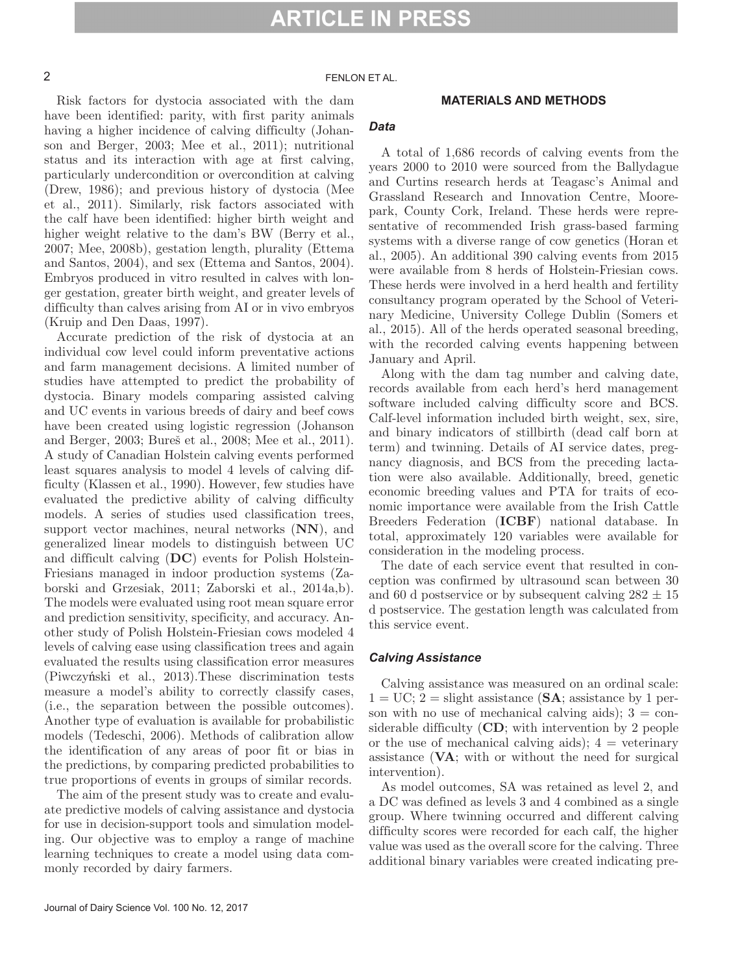#### 2 FENLON ET AL.

Risk factors for dystocia associated with the dam have been identified: parity, with first parity animals having a higher incidence of calving difficulty (Johanson and Berger, 2003; Mee et al., 2011); nutritional status and its interaction with age at first calving, particularly undercondition or overcondition at calving (Drew, 1986); and previous history of dystocia (Mee et al., 2011). Similarly, risk factors associated with the calf have been identified: higher birth weight and higher weight relative to the dam's BW (Berry et al., 2007; Mee, 2008b), gestation length, plurality (Ettema and Santos, 2004), and sex (Ettema and Santos, 2004). Embryos produced in vitro resulted in calves with longer gestation, greater birth weight, and greater levels of difficulty than calves arising from AI or in vivo embryos (Kruip and Den Daas, 1997).

Accurate prediction of the risk of dystocia at an individual cow level could inform preventative actions and farm management decisions. A limited number of studies have attempted to predict the probability of dystocia. Binary models comparing assisted calving and UC events in various breeds of dairy and beef cows have been created using logistic regression (Johanson and Berger, 2003; Bureš et al., 2008; Mee et al., 2011). A study of Canadian Holstein calving events performed least squares analysis to model 4 levels of calving difficulty (Klassen et al., 1990). However, few studies have evaluated the predictive ability of calving difficulty models. A series of studies used classification trees, support vector machines, neural networks (**NN**), and generalized linear models to distinguish between UC and difficult calving (**DC**) events for Polish Holstein-Friesians managed in indoor production systems (Zaborski and Grzesiak, 2011; Zaborski et al., 2014a,b). The models were evaluated using root mean square error and prediction sensitivity, specificity, and accuracy. Another study of Polish Holstein-Friesian cows modeled 4 levels of calving ease using classification trees and again evaluated the results using classification error measures (Piwczyński et al., 2013).These discrimination tests measure a model's ability to correctly classify cases, (i.e., the separation between the possible outcomes). Another type of evaluation is available for probabilistic models (Tedeschi, 2006). Methods of calibration allow the identification of any areas of poor fit or bias in the predictions, by comparing predicted probabilities to true proportions of events in groups of similar records.

The aim of the present study was to create and evaluate predictive models of calving assistance and dystocia for use in decision-support tools and simulation modeling. Our objective was to employ a range of machine learning techniques to create a model using data commonly recorded by dairy farmers.

#### **MATERIALS AND METHODS**

#### *Data*

A total of 1,686 records of calving events from the years 2000 to 2010 were sourced from the Ballydague and Curtins research herds at Teagasc's Animal and Grassland Research and Innovation Centre, Moorepark, County Cork, Ireland. These herds were representative of recommended Irish grass-based farming systems with a diverse range of cow genetics (Horan et al., 2005). An additional 390 calving events from 2015 were available from 8 herds of Holstein-Friesian cows. These herds were involved in a herd health and fertility consultancy program operated by the School of Veterinary Medicine, University College Dublin (Somers et al., 2015). All of the herds operated seasonal breeding, with the recorded calving events happening between January and April.

Along with the dam tag number and calving date, records available from each herd's herd management software included calving difficulty score and BCS. Calf-level information included birth weight, sex, sire, and binary indicators of stillbirth (dead calf born at term) and twinning. Details of AI service dates, pregnancy diagnosis, and BCS from the preceding lactation were also available. Additionally, breed, genetic economic breeding values and PTA for traits of economic importance were available from the Irish Cattle Breeders Federation (**ICBF**) national database. In total, approximately 120 variables were available for consideration in the modeling process.

The date of each service event that resulted in conception was confirmed by ultrasound scan between 30 and 60 d postservice or by subsequent calving  $282 \pm 15$ d postservice. The gestation length was calculated from this service event.

#### *Calving Assistance*

Calving assistance was measured on an ordinal scale:  $1 = UC$ ;  $2 =$  slight assistance (**SA**; assistance by 1 person with no use of mechanical calving aids);  $3 = \text{con}$ siderable difficulty (**CD**; with intervention by 2 people or the use of mechanical calving aids);  $4 =$  veterinary assistance (**VA**; with or without the need for surgical intervention).

As model outcomes, SA was retained as level 2, and a DC was defined as levels 3 and 4 combined as a single group. Where twinning occurred and different calving difficulty scores were recorded for each calf, the higher value was used as the overall score for the calving. Three additional binary variables were created indicating pre-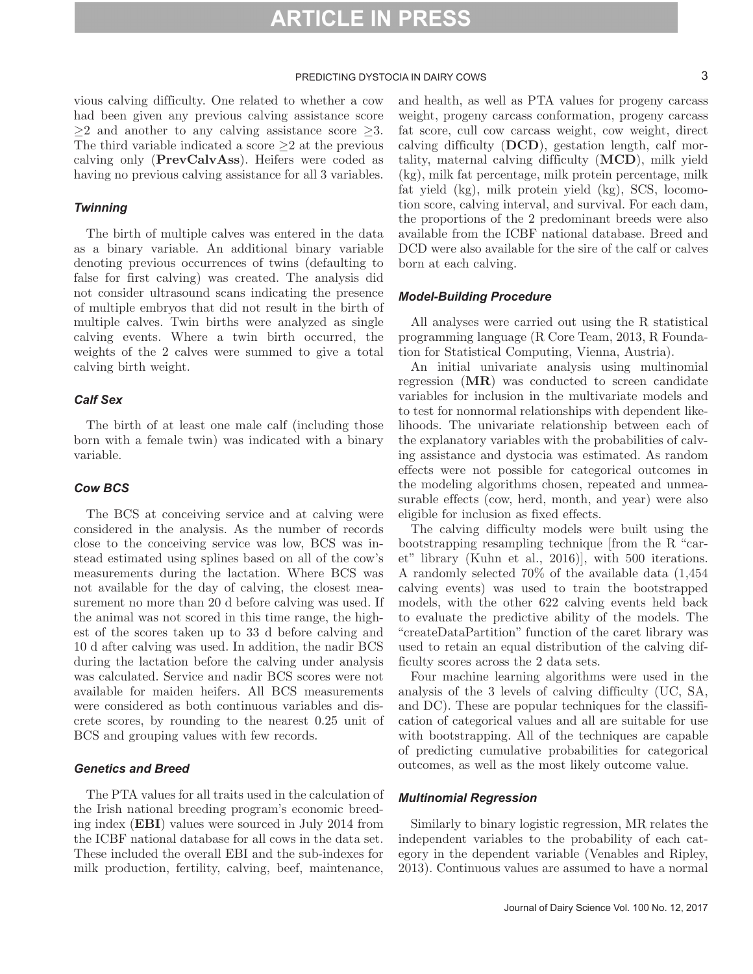#### PREDICTING DYSTOCIA IN DAIRY COWS 3

vious calving difficulty. One related to whether a cow had been given any previous calving assistance score  $\geq$  2 and another to any calving assistance score  $\geq$ 3. The third variable indicated a score  $\geq 2$  at the previous calving only (**PrevCalvAss**). Heifers were coded as having no previous calving assistance for all 3 variables.

#### *Twinning*

The birth of multiple calves was entered in the data as a binary variable. An additional binary variable denoting previous occurrences of twins (defaulting to false for first calving) was created. The analysis did not consider ultrasound scans indicating the presence of multiple embryos that did not result in the birth of multiple calves. Twin births were analyzed as single calving events. Where a twin birth occurred, the weights of the 2 calves were summed to give a total calving birth weight.

#### *Calf Sex*

The birth of at least one male calf (including those born with a female twin) was indicated with a binary variable.

#### *Cow BCS*

The BCS at conceiving service and at calving were considered in the analysis. As the number of records close to the conceiving service was low, BCS was instead estimated using splines based on all of the cow's measurements during the lactation. Where BCS was not available for the day of calving, the closest measurement no more than 20 d before calving was used. If the animal was not scored in this time range, the highest of the scores taken up to 33 d before calving and 10 d after calving was used. In addition, the nadir BCS during the lactation before the calving under analysis was calculated. Service and nadir BCS scores were not available for maiden heifers. All BCS measurements were considered as both continuous variables and discrete scores, by rounding to the nearest 0.25 unit of BCS and grouping values with few records.

#### *Genetics and Breed*

The PTA values for all traits used in the calculation of the Irish national breeding program's economic breeding index (**EBI**) values were sourced in July 2014 from the ICBF national database for all cows in the data set. These included the overall EBI and the sub-indexes for milk production, fertility, calving, beef, maintenance, and health, as well as PTA values for progeny carcass weight, progeny carcass conformation, progeny carcass fat score, cull cow carcass weight, cow weight, direct calving difficulty (**DCD**), gestation length, calf mortality, maternal calving difficulty (**MCD**), milk yield (kg), milk fat percentage, milk protein percentage, milk fat yield (kg), milk protein yield (kg), SCS, locomotion score, calving interval, and survival. For each dam, the proportions of the 2 predominant breeds were also available from the ICBF national database. Breed and DCD were also available for the sire of the calf or calves born at each calving.

#### *Model-Building Procedure*

All analyses were carried out using the R statistical programming language (R Core Team, 2013, R Foundation for Statistical Computing, Vienna, Austria).

An initial univariate analysis using multinomial regression (**MR**) was conducted to screen candidate variables for inclusion in the multivariate models and to test for nonnormal relationships with dependent likelihoods. The univariate relationship between each of the explanatory variables with the probabilities of calving assistance and dystocia was estimated. As random effects were not possible for categorical outcomes in the modeling algorithms chosen, repeated and unmeasurable effects (cow, herd, month, and year) were also eligible for inclusion as fixed effects.

The calving difficulty models were built using the bootstrapping resampling technique [from the R "caret" library (Kuhn et al., 2016)], with 500 iterations. A randomly selected 70% of the available data (1,454 calving events) was used to train the bootstrapped models, with the other 622 calving events held back to evaluate the predictive ability of the models. The "createDataPartition" function of the caret library was used to retain an equal distribution of the calving difficulty scores across the 2 data sets.

Four machine learning algorithms were used in the analysis of the 3 levels of calving difficulty (UC, SA, and DC). These are popular techniques for the classification of categorical values and all are suitable for use with bootstrapping. All of the techniques are capable of predicting cumulative probabilities for categorical outcomes, as well as the most likely outcome value.

#### *Multinomial Regression*

Similarly to binary logistic regression, MR relates the independent variables to the probability of each category in the dependent variable (Venables and Ripley, 2013). Continuous values are assumed to have a normal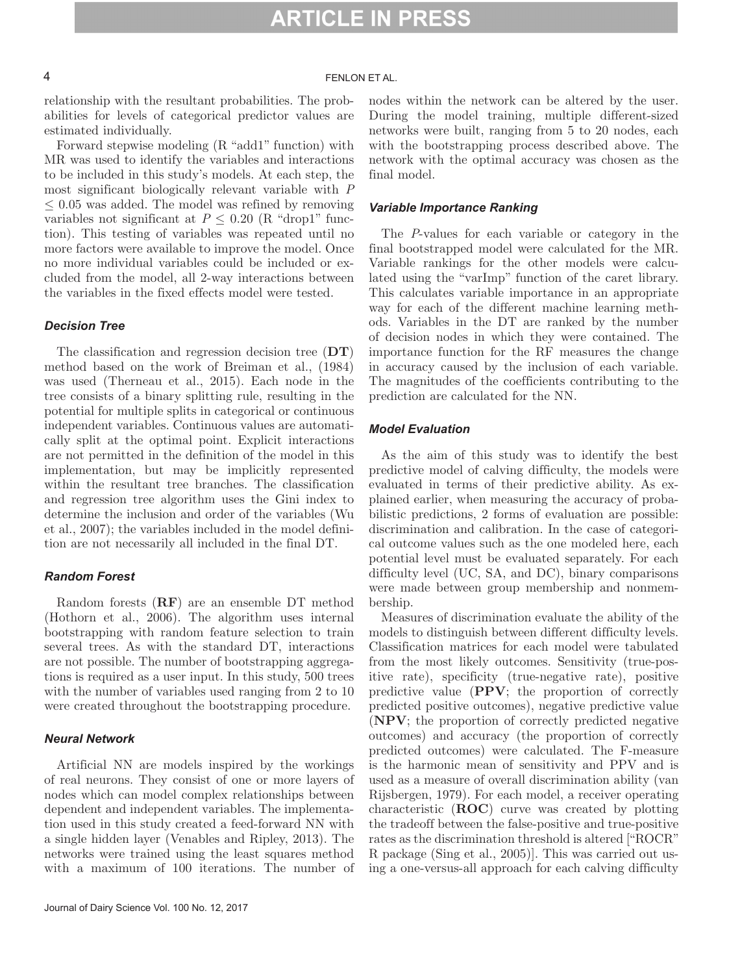#### 4 FENLON ET AL.

relationship with the resultant probabilities. The probabilities for levels of categorical predictor values are estimated individually.

Forward stepwise modeling (R "add1" function) with MR was used to identify the variables and interactions to be included in this study's models. At each step, the most significant biologically relevant variable with *P* ≤ 0.05 was added. The model was refined by removing variables not significant at  $P \leq 0.20$  (R "drop1" function). This testing of variables was repeated until no more factors were available to improve the model. Once no more individual variables could be included or excluded from the model, all 2-way interactions between the variables in the fixed effects model were tested.

#### *Decision Tree*

The classification and regression decision tree (**DT**) method based on the work of Breiman et al., (1984) was used (Therneau et al., 2015). Each node in the tree consists of a binary splitting rule, resulting in the potential for multiple splits in categorical or continuous independent variables. Continuous values are automatically split at the optimal point. Explicit interactions are not permitted in the definition of the model in this implementation, but may be implicitly represented within the resultant tree branches. The classification and regression tree algorithm uses the Gini index to determine the inclusion and order of the variables (Wu et al., 2007); the variables included in the model definition are not necessarily all included in the final DT.

#### *Random Forest*

Random forests (**RF**) are an ensemble DT method (Hothorn et al., 2006). The algorithm uses internal bootstrapping with random feature selection to train several trees. As with the standard DT, interactions are not possible. The number of bootstrapping aggregations is required as a user input. In this study, 500 trees with the number of variables used ranging from 2 to 10 were created throughout the bootstrapping procedure.

#### *Neural Network*

Artificial NN are models inspired by the workings of real neurons. They consist of one or more layers of nodes which can model complex relationships between dependent and independent variables. The implementation used in this study created a feed-forward NN with a single hidden layer (Venables and Ripley, 2013). The networks were trained using the least squares method with a maximum of 100 iterations. The number of nodes within the network can be altered by the user. During the model training, multiple different-sized networks were built, ranging from 5 to 20 nodes, each with the bootstrapping process described above. The network with the optimal accuracy was chosen as the final model.

#### *Variable Importance Ranking*

The *P*-values for each variable or category in the final bootstrapped model were calculated for the MR. Variable rankings for the other models were calculated using the "varImp" function of the caret library. This calculates variable importance in an appropriate way for each of the different machine learning methods. Variables in the DT are ranked by the number of decision nodes in which they were contained. The importance function for the RF measures the change in accuracy caused by the inclusion of each variable. The magnitudes of the coefficients contributing to the prediction are calculated for the NN.

#### *Model Evaluation*

As the aim of this study was to identify the best predictive model of calving difficulty, the models were evaluated in terms of their predictive ability. As explained earlier, when measuring the accuracy of probabilistic predictions, 2 forms of evaluation are possible: discrimination and calibration. In the case of categorical outcome values such as the one modeled here, each potential level must be evaluated separately. For each difficulty level (UC, SA, and DC), binary comparisons were made between group membership and nonmembership.

Measures of discrimination evaluate the ability of the models to distinguish between different difficulty levels. Classification matrices for each model were tabulated from the most likely outcomes. Sensitivity (true-positive rate), specificity (true-negative rate), positive predictive value (**PPV**; the proportion of correctly predicted positive outcomes), negative predictive value (**NPV**; the proportion of correctly predicted negative outcomes) and accuracy (the proportion of correctly predicted outcomes) were calculated. The F-measure is the harmonic mean of sensitivity and PPV and is used as a measure of overall discrimination ability (van Rijsbergen, 1979). For each model, a receiver operating characteristic (**ROC**) curve was created by plotting the tradeoff between the false-positive and true-positive rates as the discrimination threshold is altered ["ROCR" R package (Sing et al., 2005)]. This was carried out using a one-versus-all approach for each calving difficulty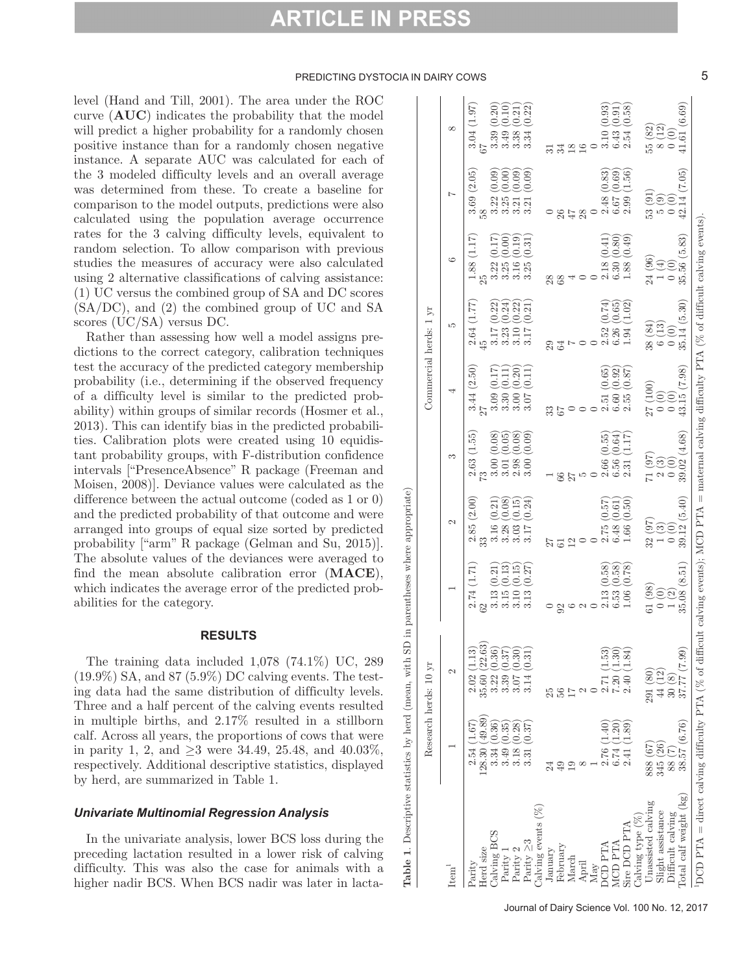#### PREDICTING DYSTOCIA IN DAIRY COWS 5

**Table 1**. Descriptive statistics by herd (mean, with SD in parentheses where appropriate)

Table 1. Descriptive statistics by herd (mean, with SD in parentheses where appropriate)

level (Hand and Till, 2001). The area under the ROC curve (**AUC**) indicates the probability that the model will predict a higher probability for a randomly chosen positive instance than for a randomly chosen negative instance. A separate AUC was calculated for each of the 3 modeled difficulty levels and an overall average was determined from these. To create a baseline for comparison to the model outputs, predictions were also calculated using the population average occurrence rates for the 3 calving difficulty levels, equivalent to random selection. To allow comparison with previous studies the measures of accuracy were also calculated using 2 alternative classifications of calving assistance: (1) UC versus the combined group of SA and DC scores (SA/DC), and (2) the combined group of UC and SA scores (UC/SA) versus DC.

Rather than assessing how well a model assigns predictions to the correct category, calibration techniques test the accuracy of the predicted category membership probability (i.e., determining if the observed frequency of a difficulty level is similar to the predicted probability) within groups of similar records (Hosmer et al., 2013). This can identify bias in the predicted probabilities. Calibration plots were created using 10 equidistant probability groups, with F-distribution confidence intervals ["PresenceAbsence" R package (Freeman and Moisen, 2008)]. Deviance values were calculated as the difference between the actual outcome (coded as 1 or 0) and the predicted probability of that outcome and were arranged into groups of equal size sorted by predicted probability ["arm" R package (Gelman and Su, 2015)]. The absolute values of the deviances were averaged to find the mean absolute calibration error (**MACE**), which indicates the average error of the predicted probabilities for the category.

#### **RESULTS**

The training data included 1,078 (74.1%) UC, 289 (19.9%) SA, and 87 (5.9%) DC calving events. The testing data had the same distribution of difficulty levels. Three and a half percent of the calving events resulted in multiple births, and 2.17% resulted in a stillborn calf. Across all years, the proportions of cows that were in parity 1, 2, and ≥3 were 34.49, 25.48, and 40.03%, respectively. Additional descriptive statistics, displayed by herd, are summarized in Table 1.

#### *Univariate Multinomial Regression Analysis*

In the univariate analysis, lower BCS loss during the preceding lactation resulted in a lower risk of calving difficulty. This was also the case for animals with a higher nadir BCS. When BCS nadir was later in lacta-

|                                                                                                                                                                                                                                                                                                                  |                                                                                                                                                                                                                          | Research herds: 10 yr                                                                                                                                                                                        |                                                                                                                                                                                                                              |                                                                                                                                                                                                                        |                                                                                                                                                                                                  | Commercial herds: 1 yr                                                                                                                                                                                                    |                                                                                                                                                                                                                                             |                                                                                                                                                                                                     |                                                                                                                                                                                                                                      |                                                                                                                                                                            |
|------------------------------------------------------------------------------------------------------------------------------------------------------------------------------------------------------------------------------------------------------------------------------------------------------------------|--------------------------------------------------------------------------------------------------------------------------------------------------------------------------------------------------------------------------|--------------------------------------------------------------------------------------------------------------------------------------------------------------------------------------------------------------|------------------------------------------------------------------------------------------------------------------------------------------------------------------------------------------------------------------------------|------------------------------------------------------------------------------------------------------------------------------------------------------------------------------------------------------------------------|--------------------------------------------------------------------------------------------------------------------------------------------------------------------------------------------------|---------------------------------------------------------------------------------------------------------------------------------------------------------------------------------------------------------------------------|---------------------------------------------------------------------------------------------------------------------------------------------------------------------------------------------------------------------------------------------|-----------------------------------------------------------------------------------------------------------------------------------------------------------------------------------------------------|--------------------------------------------------------------------------------------------------------------------------------------------------------------------------------------------------------------------------------------|----------------------------------------------------------------------------------------------------------------------------------------------------------------------------|
| Item <sup>1</sup>                                                                                                                                                                                                                                                                                                |                                                                                                                                                                                                                          |                                                                                                                                                                                                              |                                                                                                                                                                                                                              | 2                                                                                                                                                                                                                      | S                                                                                                                                                                                                |                                                                                                                                                                                                                           | P.                                                                                                                                                                                                                                          | ≌                                                                                                                                                                                                   | $\overline{ }$                                                                                                                                                                                                                       | ${}^{\circ}$                                                                                                                                                               |
| Total calf weight (kg)<br>Calving type $(\%)$<br>Unassisted calving<br>Calving events (%)<br>Slight assistance<br>Difficult calving<br>Sire DCD PTA<br>Calving BCS<br>Parity $>3$<br>MCD PTA<br>DCD PTA<br>February<br>Herd size<br>Parity 2<br>Ja <sub>max</sub><br>Parity 1<br>March<br>April<br>Parity<br>May | 128.30 (49.89)<br>38.57 (6.76)<br>$\begin{array}{c} 6.74 \ (1.20) \\ 2.41 \ (1.89) \end{array}$<br>3.34(0.36)<br>3.18 (0.28)<br>3.49 (0.35<br>3.31 (0.37)<br>2.54 (1.67<br>2.76 (1.40)<br>888 (67)<br>345 (26)<br>88 (7) | 35.60 (22.63)<br>3.22(0.36)<br>3.39(0.37)<br>3.14(0.31)<br>2.71(1.53)<br>7.20(1.30)<br>2.40(1.84)<br>(7.99)<br>2.02(1.13)<br>3.07(0.30)<br>44 (12)<br>291 (80<br>37.77<br>30(8)<br>$\frac{2}{10}$<br>25<br>¢ | (0.27)<br>(0.78)<br>35.08(8.51)<br>3.10(0.15)<br>(0.13)<br>0.58<br>(0.58)<br>2.74 (1.71<br>(0.21)<br>61(98)<br>3.13(<br>3.15(<br>$\frac{13}{6.53}$<br>3.13 <sub>0</sub><br>1.06 <sub>1</sub><br>(0)<br>1(2)<br>62<br>92<br>N | 39.12(5.40)<br>2.85(2.00)<br>(0.15)<br>(0.24)<br>2.75(0.57)<br>(0.08)<br>(0.50)<br>6.48 (0.61<br>3.16 (0.21<br>3.28(<br>$\frac{32}{1} \frac{(97)}{(3)}$<br>3.03(<br>1.66<br>3.17<br>$\left(0\right)$<br>27<br>61<br>12 | 39.02(4.68)<br>2.63(1.55)<br>(0.08)<br>(0.09)<br>1.17<br>0.05<br>0.08<br>0.64<br>$71\frac{(97)}{200}$<br>3.00 <sub>1</sub><br>2.66 <sub>1</sub><br>6.56(<br>2.98<br>3.00<br>2.31<br>$66\,$<br>27 | 43.15(7.98)<br>3.44(2.50)<br>3.09 (0.17<br>(0.92)<br>(0.87)<br>(0.65)<br>(0.20)<br>(0.11)<br>$\overline{0}$<br>27 (100<br>6.60(<br>2.51 <sub>1</sub><br>2.55(<br>3.30<br>3.07<br>3.00<br>$\frac{1}{\sqrt{2}}$<br>33<br>67 | 1.02)<br>2.64 (1.77<br>3.17 (0.22)<br>(0.65)<br>(5.30)<br>(0.22)<br>(0.24)<br>(0.21)<br>(0.74<br>$\frac{13}{2}$<br>$\frac{38}{6} \frac{84}{13}$<br>$\frac{0}{0}$<br>2.52(<br>3.23<br>6.26<br>3.10<br>3.17<br>35.14<br>.94<br>45<br>29<br>64 | 1.88 (1.17)<br>35.56 (5.83)<br>(0.19)<br>(0.49)<br>(0.17)<br>(0.80)<br>2.18 (0.41<br>(0.00)<br>(0.31)<br>24(96)<br>3.25(<br>3.22<br>6.30(<br>3.16<br>1.88<br>3.25<br>1(4)<br>0(0)<br>25<br>68<br>28 | 3.69(2.05)<br>(1.56)<br>(0.83)<br>(0.09)<br>(0.09)<br>(0.00)<br>(0.09)<br>(0.69)<br>$\frac{53}{5}\frac{(91)}{(9)}$<br>3.22<br>3.25<br>2.48<br>$\begin{matrix} 0 & 0 \\ 0 & 0 \end{matrix}$<br>3.21<br>3.21<br>58<br>$26$ $\pm$<br>28 | 3.04 (1.97)<br>(0.58)<br>(0.22)<br>(0.20)<br>(0.21)<br>(0.91<br>55 (82)<br>8 (12)<br>3.10 <sub>1</sub><br>6.43(<br>2.54<br>3.38<br>3.49<br>3.34<br>3.39<br>34.8<br>$\circ$ |
| "DCD PTA = direct calving difficulty PTA (% of difficult calving events); MCD PTA = maternal calving difficulty PTA (% of difficult calving events)                                                                                                                                                              |                                                                                                                                                                                                                          |                                                                                                                                                                                                              |                                                                                                                                                                                                                              |                                                                                                                                                                                                                        |                                                                                                                                                                                                  |                                                                                                                                                                                                                           |                                                                                                                                                                                                                                             |                                                                                                                                                                                                     |                                                                                                                                                                                                                                      |                                                                                                                                                                            |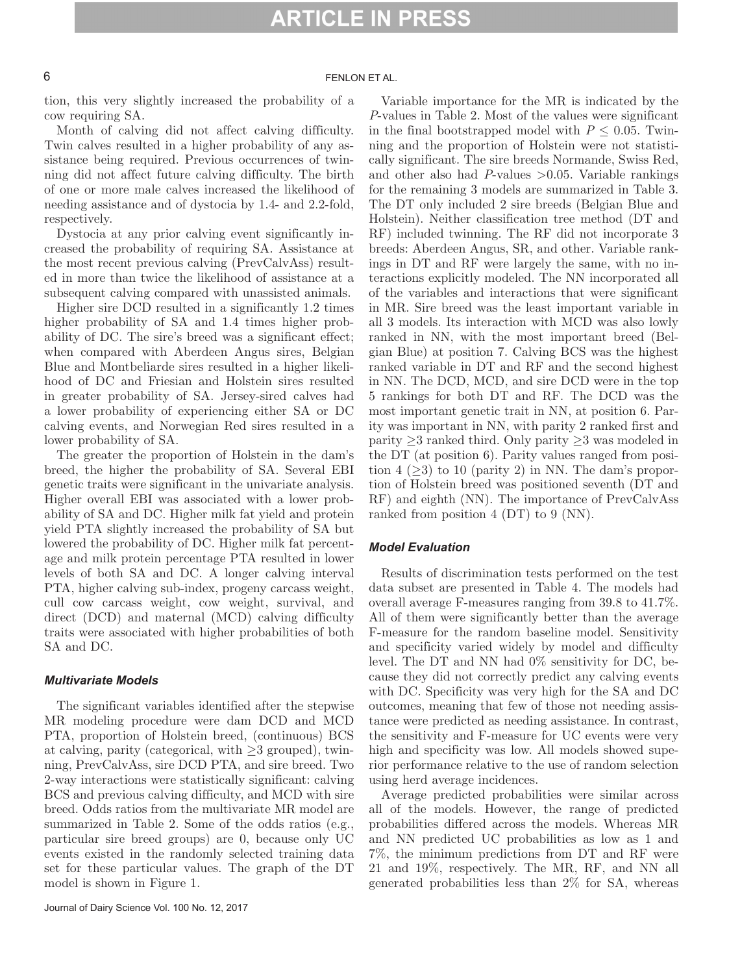#### 6 FENLON ET AL.

tion, this very slightly increased the probability of a cow requiring SA.

Month of calving did not affect calving difficulty. Twin calves resulted in a higher probability of any assistance being required. Previous occurrences of twinning did not affect future calving difficulty. The birth of one or more male calves increased the likelihood of needing assistance and of dystocia by 1.4- and 2.2-fold, respectively.

Dystocia at any prior calving event significantly increased the probability of requiring SA. Assistance at the most recent previous calving (PrevCalvAss) resulted in more than twice the likelihood of assistance at a subsequent calving compared with unassisted animals.

Higher sire DCD resulted in a significantly 1.2 times higher probability of SA and 1.4 times higher probability of DC. The sire's breed was a significant effect; when compared with Aberdeen Angus sires, Belgian Blue and Montbeliarde sires resulted in a higher likelihood of DC and Friesian and Holstein sires resulted in greater probability of SA. Jersey-sired calves had a lower probability of experiencing either SA or DC calving events, and Norwegian Red sires resulted in a lower probability of SA.

The greater the proportion of Holstein in the dam's breed, the higher the probability of SA. Several EBI genetic traits were significant in the univariate analysis. Higher overall EBI was associated with a lower probability of SA and DC. Higher milk fat yield and protein yield PTA slightly increased the probability of SA but lowered the probability of DC. Higher milk fat percentage and milk protein percentage PTA resulted in lower levels of both SA and DC. A longer calving interval PTA, higher calving sub-index, progeny carcass weight, cull cow carcass weight, cow weight, survival, and direct (DCD) and maternal (MCD) calving difficulty traits were associated with higher probabilities of both SA and DC.

#### *Multivariate Models*

The significant variables identified after the stepwise MR modeling procedure were dam DCD and MCD PTA, proportion of Holstein breed, (continuous) BCS at calving, parity (categorical, with  $\geq$ 3 grouped), twinning, PrevCalvAss, sire DCD PTA, and sire breed. Two 2-way interactions were statistically significant: calving BCS and previous calving difficulty, and MCD with sire breed. Odds ratios from the multivariate MR model are summarized in Table 2. Some of the odds ratios (e.g., particular sire breed groups) are 0, because only UC events existed in the randomly selected training data set for these particular values. The graph of the DT model is shown in Figure 1.

Variable importance for the MR is indicated by the *P*-values in Table 2. Most of the values were significant in the final bootstrapped model with  $P \leq 0.05$ . Twinning and the proportion of Holstein were not statistically significant. The sire breeds Normande, Swiss Red, and other also had *P*-values >0.05. Variable rankings for the remaining 3 models are summarized in Table 3. The DT only included 2 sire breeds (Belgian Blue and Holstein). Neither classification tree method (DT and RF) included twinning. The RF did not incorporate 3 breeds: Aberdeen Angus, SR, and other. Variable rankings in DT and RF were largely the same, with no interactions explicitly modeled. The NN incorporated all of the variables and interactions that were significant in MR. Sire breed was the least important variable in all 3 models. Its interaction with MCD was also lowly ranked in NN, with the most important breed (Belgian Blue) at position 7. Calving BCS was the highest ranked variable in DT and RF and the second highest in NN. The DCD, MCD, and sire DCD were in the top 5 rankings for both DT and RF. The DCD was the most important genetic trait in NN, at position 6. Parity was important in NN, with parity 2 ranked first and parity  $\geq$ 3 ranked third. Only parity  $\geq$ 3 was modeled in the DT (at position 6). Parity values ranged from position 4 ( $>$ 3) to 10 (parity 2) in NN. The dam's proportion of Holstein breed was positioned seventh (DT and RF) and eighth (NN). The importance of PrevCalvAss ranked from position 4 (DT) to 9 (NN).

#### *Model Evaluation*

Results of discrimination tests performed on the test data subset are presented in Table 4. The models had overall average F-measures ranging from 39.8 to 41.7%. All of them were significantly better than the average F-measure for the random baseline model. Sensitivity and specificity varied widely by model and difficulty level. The DT and NN had 0% sensitivity for DC, because they did not correctly predict any calving events with DC. Specificity was very high for the SA and DC outcomes, meaning that few of those not needing assistance were predicted as needing assistance. In contrast, the sensitivity and F-measure for UC events were very high and specificity was low. All models showed superior performance relative to the use of random selection using herd average incidences.

Average predicted probabilities were similar across all of the models. However, the range of predicted probabilities differed across the models. Whereas MR and NN predicted UC probabilities as low as 1 and 7%, the minimum predictions from DT and RF were 21 and 19%, respectively. The MR, RF, and NN all generated probabilities less than 2% for SA, whereas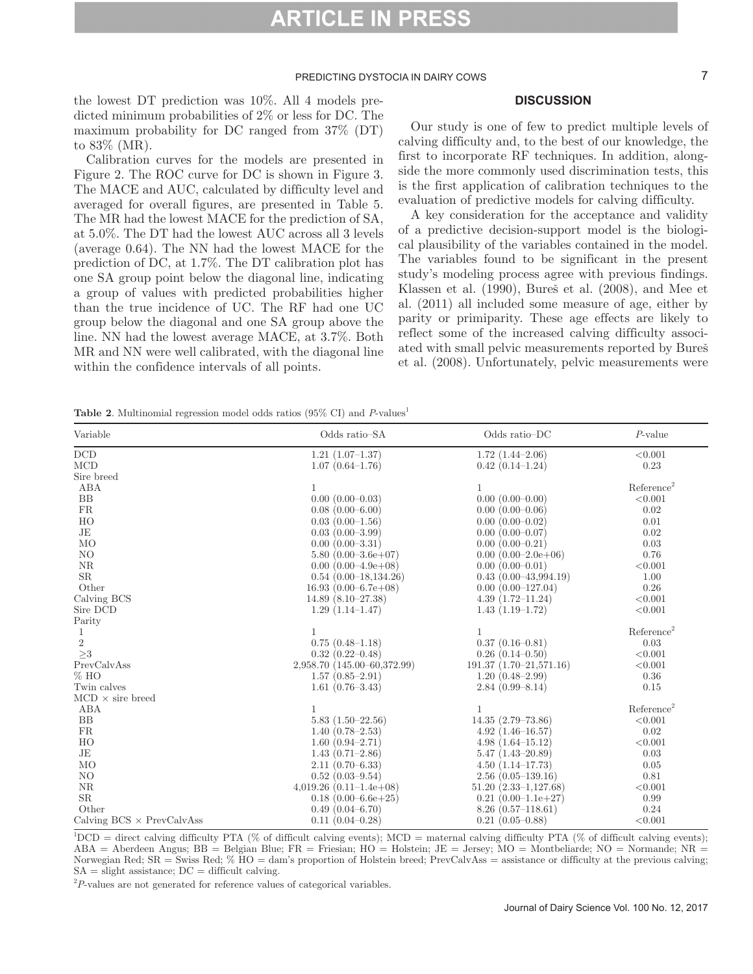#### PREDICTING DYSTOCIA IN DAIRY COWS 7

the lowest DT prediction was 10%. All 4 models predicted minimum probabilities of 2% or less for DC. The maximum probability for DC ranged from 37% (DT) to 83% (MR).

Calibration curves for the models are presented in Figure 2. The ROC curve for DC is shown in Figure 3. The MACE and AUC, calculated by difficulty level and averaged for overall figures, are presented in Table 5. The MR had the lowest MACE for the prediction of SA, at 5.0%. The DT had the lowest AUC across all 3 levels (average 0.64). The NN had the lowest MACE for the prediction of DC, at 1.7%. The DT calibration plot has one SA group point below the diagonal line, indicating a group of values with predicted probabilities higher than the true incidence of UC. The RF had one UC group below the diagonal and one SA group above the line. NN had the lowest average MACE, at 3.7%. Both MR and NN were well calibrated, with the diagonal line within the confidence intervals of all points.

#### **DISCUSSION**

Our study is one of few to predict multiple levels of calving difficulty and, to the best of our knowledge, the first to incorporate RF techniques. In addition, alongside the more commonly used discrimination tests, this is the first application of calibration techniques to the evaluation of predictive models for calving difficulty.

A key consideration for the acceptance and validity of a predictive decision-support model is the biological plausibility of the variables contained in the model. The variables found to be significant in the present study's modeling process agree with previous findings. Klassen et al. (1990), Bureš et al. (2008), and Mee et al. (2011) all included some measure of age, either by parity or primiparity. These age effects are likely to reflect some of the increased calving difficulty associated with small pelvic measurements reported by Bureš et al. (2008). Unfortunately, pelvic measurements were

**Table 2**. Multinomial regression model odds ratios (95% CI) and *P*-values<sup>1</sup>

| Variable                         | Odds ratio-SA               | Odds ratio-DC           | $P$ -value             |
|----------------------------------|-----------------------------|-------------------------|------------------------|
| <b>DCD</b>                       | $1.21(1.07-1.37)$           | $1.72(1.44-2.06)$       | < 0.001                |
| MCD                              | $1.07(0.64 - 1.76)$         | $0.42(0.14-1.24)$       | 0.23                   |
| Sire breed                       |                             |                         |                        |
| ABA                              | 1                           | 1                       | Reference <sup>2</sup> |
| BB                               | $0.00(0.00-0.03)$           | $0.00(0.00-0.00)$       | < 0.001                |
| FR                               | $0.08(0.00-6.00)$           | $0.00(0.00-0.06)$       | 0.02                   |
| HO                               | $0.03(0.00-1.56)$           | $0.00(0.00-0.02)$       | 0.01                   |
| JE                               | $0.03(0.00-3.99)$           | $0.00(0.00-0.07)$       | 0.02                   |
| MO                               | $0.00(0.00-3.31)$           | $0.00(0.00-0.21)$       | 0.03                   |
| N <sub>O</sub>                   | $5.80(0.00-3.6e+07)$        | $0.00(0.00-2.0e+0.6)$   | 0.76                   |
| <b>NR</b>                        | $0.00(0.00-4.9e+0.8)$       | $0.00(0.00-0.01)$       | < 0.001                |
| <b>SR</b>                        | $0.54(0.00-18,134.26)$      | $0.43(0.00-43.994.19)$  | 1.00                   |
| Other                            | $16.93(0.00-6.7e+08)$       | $0.00(0.00-127.04)$     | 0.26                   |
| Calving BCS                      | $14.89(8.10-27.38)$         | $4.39(1.72 - 11.24)$    | < 0.001                |
| Sire DCD                         | $1.29(1.14-1.47)$           | $1.43(1.19-1.72)$       | < 0.001                |
| Parity                           |                             |                         |                        |
| 1                                | 1                           | 1                       | Reference <sup>2</sup> |
| $\overline{2}$                   | $0.75(0.48-1.18)$           | $0.37(0.16-0.81)$       | 0.03                   |
| >3                               | $0.32(0.22 - 0.48)$         | $0.26(0.14-0.50)$       | < 0.001                |
| PrevCalvAss                      | 2,958.70 (145.00-60,372.99) | 191.37 (1.70-21,571.16) | < 0.001                |
| $\%$ HO                          | $1.57(0.85-2.91)$           | $1.20(0.48-2.99)$       | 0.36                   |
| Twin calves                      | $1.61(0.76-3.43)$           | $2.84(0.99 - 8.14)$     | 0.15                   |
| $MCD \times$ sire breed          |                             |                         |                        |
| ABA                              | 1                           | 1                       | Reference <sup>2</sup> |
| BB                               | $5.83(1.50-22.56)$          | $14.35(2.79-73.86)$     | < 0.001                |
| FR                               | $1.40(0.78-2.53)$           | $4.92(1.46-16.57)$      | 0.02                   |
| HO                               | $1.60(0.94-2.71)$           | $4.98(1.64-15.12)$      | < 0.001                |
| JE                               | $1.43(0.71-2.86)$           | $5.47(1.43-20.89)$      | 0.03                   |
| MO                               | $2.11(0.70 - 6.33)$         | $4.50(1.14-17.73)$      | 0.05                   |
| N <sub>O</sub>                   | $0.52(0.03-9.54)$           | $2.56(0.05-139.16)$     | 0.81                   |
| <b>NR</b>                        | $4,019.26$ $(0.11-1.4e+08)$ | $51.20(2.33-1,127.68)$  | < 0.001                |
| <b>SR</b>                        | $0.18(0.00 - 6.6e + 25)$    | $0.21(0.00-1.1e+27)$    | 0.99                   |
| Other                            | $0.49(0.04 - 6.70)$         | $8.26(0.57-118.61)$     | 0.24                   |
| Calving $BCS \times PrevCalvAss$ | $0.11(0.04 - 0.28)$         | $0.21(0.05-0.88)$       | < 0.001                |

 ${}^{1}$ DCD = direct calving difficulty PTA (% of difficult calving events); MCD = maternal calving difficulty PTA (% of difficult calving events);  $ABA = Ab$ erdeen Angus;  $BB = Belgian Blue$ ;  $FR = Friesian$ ;  $HO = Holstein$ ;  $JE = Jersey$ ;  $MO = Montbeliard$ e;  $NO = Normande$ ;  $NR =$ Norwegian Red; SR = Swiss Red; % HO = dam's proportion of Holstein breed; PrevCalvAss = assistance or difficulty at the previous calving;  $SA =$  slight assistance;  $DC =$  difficult calving.

 ${}^{2}P$ -values are not generated for reference values of categorical variables.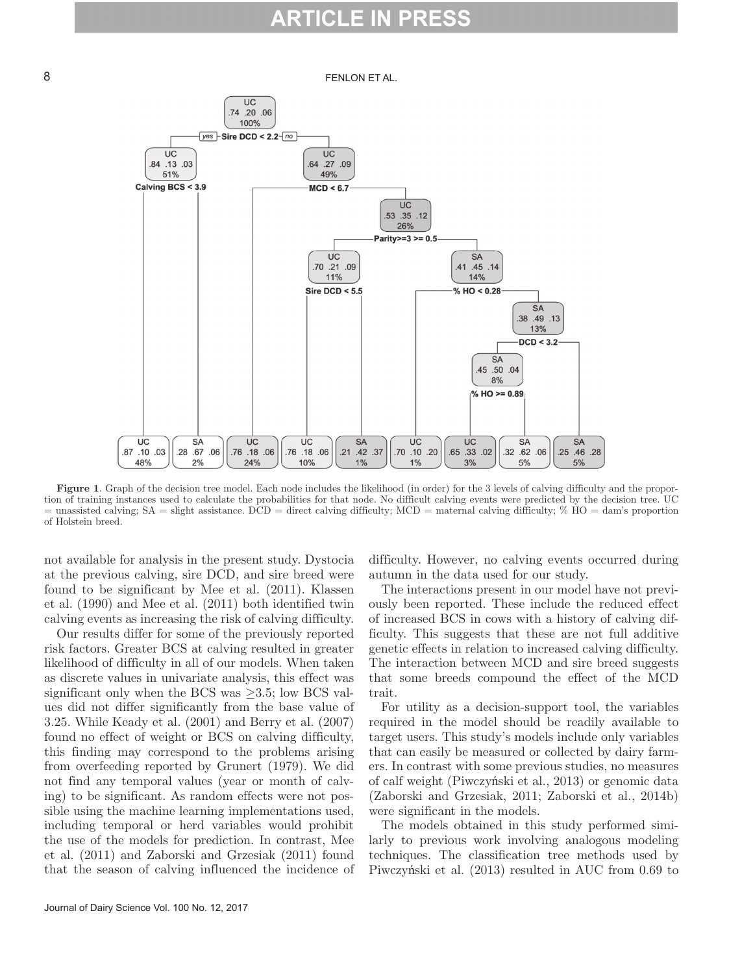8



Figure 1. Graph of the decision tree model. Each node includes the likelihood (in order) for the 3 levels of calving difficulty and the proportion of training instances used to calculate the probabilities for that node. No difficult calving events were predicted by the decision tree. UC = unassisted calving; SA = slight assistance. DCD = direct calving difficulty; MCD = maternal calving difficulty;  $\%$  HO = dam's proportion of Holstein breed.

not available for analysis in the present study. Dystocia at the previous calving, sire DCD, and sire breed were found to be significant by Mee et al. (2011). Klassen et al. (1990) and Mee et al. (2011) both identified twin calving events as increasing the risk of calving difficulty.

Our results differ for some of the previously reported risk factors. Greater BCS at calving resulted in greater likelihood of difficulty in all of our models. When taken as discrete values in univariate analysis, this effect was significant only when the BCS was  $\geq 3.5$ ; low BCS values did not differ significantly from the base value of 3.25. While Keady et al. (2001) and Berry et al. (2007) found no effect of weight or BCS on calving difficulty, this finding may correspond to the problems arising from overfeeding reported by Grunert (1979). We did not find any temporal values (year or month of calving) to be significant. As random effects were not possible using the machine learning implementations used, including temporal or herd variables would prohibit the use of the models for prediction. In contrast, Mee et al. (2011) and Zaborski and Grzesiak (2011) found that the season of calving influenced the incidence of difficulty. However, no calving events occurred during autumn in the data used for our study.

The interactions present in our model have not previously been reported. These include the reduced effect of increased BCS in cows with a history of calving difficulty. This suggests that these are not full additive genetic effects in relation to increased calving difficulty. The interaction between MCD and sire breed suggests that some breeds compound the effect of the MCD trait.

For utility as a decision-support tool, the variables required in the model should be readily available to target users. This study's models include only variables that can easily be measured or collected by dairy farmers. In contrast with some previous studies, no measures of calf weight (Piwczyński et al., 2013) or genomic data (Zaborski and Grzesiak, 2011; Zaborski et al., 2014b) were significant in the models.

The models obtained in this study performed similarly to previous work involving analogous modeling techniques. The classification tree methods used by Piwczyński et al. (2013) resulted in AUC from 0.69 to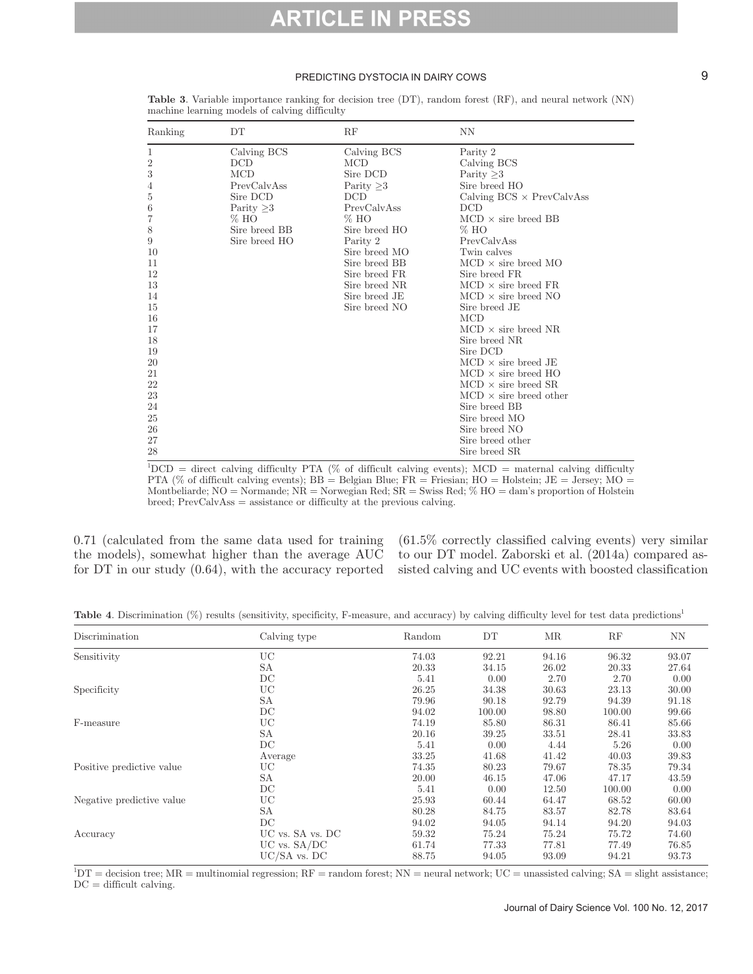## **ARTICLE IN**

#### PREDICTING DYSTOCIA IN DAIRY COWS 9

| Ranking        | DT            | RF             | NΝ                               |
|----------------|---------------|----------------|----------------------------------|
| 1              | Calving BCS   | Calving BCS    | Parity 2                         |
| $\overline{2}$ | DCD           | MCD            | Calving BCS                      |
| 3              | MCD           | Sire DCD       | Parity $>3$                      |
| 4              | PrevCalvAss   | Parity $>3$    | Sire breed HO                    |
| $\overline{5}$ | Sire DCD      | DCD            | Calving $BCS \times PrevCalvAss$ |
| 6              | Parity $>3$   | PrevCalvAss    | DCD                              |
| 7              | $\%$ HO       | $\%$ HO        | $MCD \times$ sire breed BB       |
| 8              | Sire breed BB | Sire breed HO  | $\%$ HO                          |
| 9              | Sire breed HO | Parity 2       | PrevCalyAss                      |
| 10             |               | Sire breed MO  | Twin calves                      |
| 11             |               | Sire breed BB  | $MCD \times$ sire breed MO       |
| 12             |               | Sire breed FR. | Sire breed FR                    |
| 13             |               | Sire breed NR  | $MCD \times$ sire breed FR.      |
| 14             |               | Sire breed JE  | $MCD \times$ sire breed NO       |
| 15             |               | Sire breed NO  | Sire breed JE                    |
| 16             |               |                | MCD                              |
| 17             |               |                | $MCD \times$ sire breed NR.      |
| 18             |               |                | Sire breed NR                    |
| 19             |               |                | Sire DCD                         |
| 20             |               |                | $MCD \times$ sire breed JE       |
| 21             |               |                | $MCD \times$ sire breed HO       |
| 22             |               |                | $MCD \times$ sire breed SR       |
| 23             |               |                | $MCD \times$ sire breed other    |
| 24             |               |                | Sire breed BB                    |
| 25             |               |                | Sire breed MO                    |
| 26             |               |                | Sire breed NO                    |
| 27             |               |                | Sire breed other                 |
| 28             |               |                | Sire breed SR                    |

**Table 3**. Variable importance ranking for decision tree (DT), random forest (RF), and neural network (NN) machine learning models of calving difficulty

 ${}^{1}DCD =$  direct calving difficulty PTA (% of difficult calving events); MCD = maternal calving difficulty PTA (% of difficult calving events);  $BB =$  Belgian Blue;  $FR =$  Friesian;  $HO =$  Holstein;  $JE =$  Jersey;  $MO =$ Montbeliarde;  $NO = Normande$ ;  $NR = Norwegian Red$ ;  $SR = Swiss Red$ ;  $% HO = dam's proportion of Holstein$ breed; PrevCalvAss = assistance or difficulty at the previous calving.

0.71 (calculated from the same data used for training the models), somewhat higher than the average AUC for DT in our study (0.64), with the accuracy reported

(61.5% correctly classified calving events) very similar to our DT model. Zaborski et al. (2014a) compared assisted calving and UC events with boosted classification

**Table 4**. Discrimination (%) results (sensitivity, specificity, F-measure, and accuracy) by calving difficulty level for test data predictions<sup>1</sup>

| Discrimination            | Calving type     | Random | DT     | MR    | RF     | NN    |
|---------------------------|------------------|--------|--------|-------|--------|-------|
| Sensitivity               | UC               | 74.03  | 92.21  | 94.16 | 96.32  | 93.07 |
|                           | SA               | 20.33  | 34.15  | 26.02 | 20.33  | 27.64 |
|                           | DC               | 5.41   | 0.00   | 2.70  | 2.70   | 0.00  |
| Specificity               | UC               | 26.25  | 34.38  | 30.63 | 23.13  | 30.00 |
|                           | SA               | 79.96  | 90.18  | 92.79 | 94.39  | 91.18 |
|                           | DC               | 94.02  | 100.00 | 98.80 | 100.00 | 99.66 |
| F-measure                 | UC               | 74.19  | 85.80  | 86.31 | 86.41  | 85.66 |
|                           | SA               | 20.16  | 39.25  | 33.51 | 28.41  | 33.83 |
|                           | DC               | 5.41   | 0.00   | 4.44  | 5.26   | 0.00  |
|                           | Average          | 33.25  | 41.68  | 41.42 | 40.03  | 39.83 |
| Positive predictive value | UC               | 74.35  | 80.23  | 79.67 | 78.35  | 79.34 |
|                           | SA               | 20.00  | 46.15  | 47.06 | 47.17  | 43.59 |
|                           | DC               | 5.41   | 0.00   | 12.50 | 100.00 | 0.00  |
| Negative predictive value | UC               | 25.93  | 60.44  | 64.47 | 68.52  | 60.00 |
|                           | SA               | 80.28  | 84.75  | 83.57 | 82.78  | 83.64 |
|                           | DC               | 94.02  | 94.05  | 94.14 | 94.20  | 94.03 |
| Accuracy                  | UC vs. SA vs. DC | 59.32  | 75.24  | 75.24 | 75.72  | 74.60 |
|                           | $UC$ vs. $SA/DC$ | 61.74  | 77.33  | 77.81 | 77.49  | 76.85 |
|                           | $UC/SA$ vs. DC   | 88.75  | 94.05  | 93.09 | 94.21  | 93.73 |

 ${}^{1}DT =$  decision tree; MR = multinomial regression; RF = random forest; NN = neural network; UC = unassisted calving; SA = slight assistance; DC = difficult calving.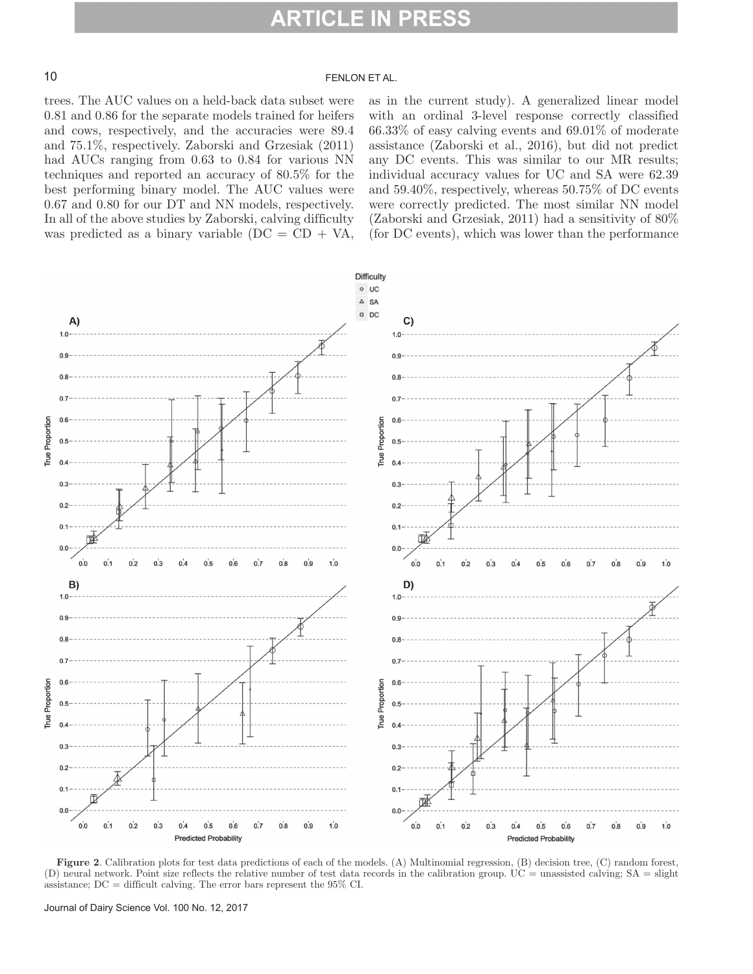#### 10 FENLON ET AL.

trees. The AUC values on a held-back data subset were 0.81 and 0.86 for the separate models trained for heifers and cows, respectively, and the accuracies were 89.4 and 75.1%, respectively. Zaborski and Grzesiak (2011) had AUCs ranging from 0.63 to 0.84 for various NN techniques and reported an accuracy of 80.5% for the best performing binary model. The AUC values were 0.67 and 0.80 for our DT and NN models, respectively. In all of the above studies by Zaborski, calving difficulty was predicted as a binary variable  $(DC = CD + VA$ ,

as in the current study). A generalized linear model with an ordinal 3-level response correctly classified 66.33% of easy calving events and 69.01% of moderate assistance (Zaborski et al., 2016), but did not predict any DC events. This was similar to our MR results; individual accuracy values for UC and SA were 62.39 and 59.40%, respectively, whereas 50.75% of DC events were correctly predicted. The most similar NN model (Zaborski and Grzesiak, 2011) had a sensitivity of 80% (for DC events), which was lower than the performance



**Figure 2**. Calibration plots for test data predictions of each of the models. (A) Multinomial regression, (B) decision tree, (C) random forest, (D) neural network. Point size reflects the relative number of test data records in the calibration group. UC = unassisted calving; SA = slight assistance; DC = difficult calving. The error bars represent the 95% CI.

Journal of Dairy Science Vol. 100 No. 12, 2017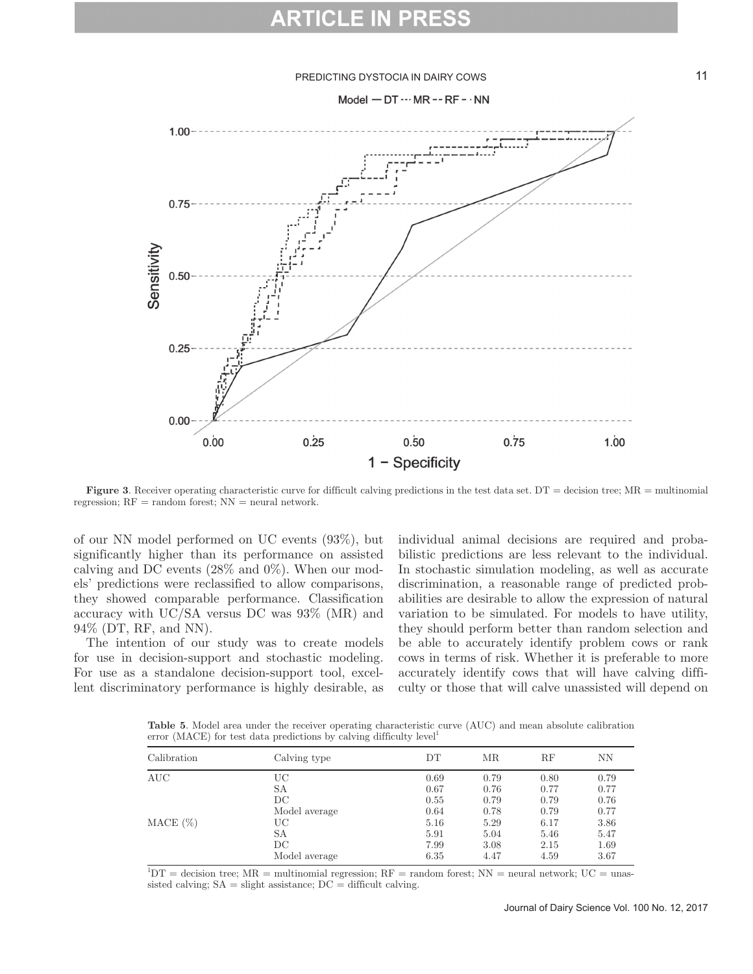#### PREDICTING DYSTOCIA IN DAIRY COWS 11

Model  $-DT \cdots MR - RF - NN$ 



**Figure 3.** Receiver operating characteristic curve for difficult calving predictions in the test data set. DT = decision tree; MR = multinomial regression;  $RF =$  random forest;  $NN =$  neural network.

of our NN model performed on UC events (93%), but significantly higher than its performance on assisted calving and DC events  $(28\% \text{ and } 0\%)$ . When our models' predictions were reclassified to allow comparisons, they showed comparable performance. Classification accuracy with UC/SA versus DC was 93% (MR) and 94% (DT, RF, and NN).

The intention of our study was to create models for use in decision-support and stochastic modeling. For use as a standalone decision-support tool, excellent discriminatory performance is highly desirable, as individual animal decisions are required and probabilistic predictions are less relevant to the individual. In stochastic simulation modeling, as well as accurate discrimination, a reasonable range of predicted probabilities are desirable to allow the expression of natural variation to be simulated. For models to have utility, they should perform better than random selection and be able to accurately identify problem cows or rank cows in terms of risk. Whether it is preferable to more accurately identify cows that will have calving difficulty or those that will calve unassisted will depend on

**Table 5**. Model area under the receiver operating characteristic curve (AUC) and mean absolute calibration error (MACE) for test data predictions by calving difficulty level

| Calibration | Calving type  | DT   | MR.  | RF   | NN   |
|-------------|---------------|------|------|------|------|
| AUC         | UС            | 0.69 | 0.79 | 0.80 | 0.79 |
|             | <b>SA</b>     | 0.67 | 0.76 | 0.77 | 0.77 |
|             | DC            | 0.55 | 0.79 | 0.79 | 0.76 |
|             | Model average | 0.64 | 0.78 | 0.79 | 0.77 |
| MACE $(\%)$ | UC            | 5.16 | 5.29 | 6.17 | 3.86 |
|             | <b>SA</b>     | 5.91 | 5.04 | 5.46 | 5.47 |
|             | DC            | 7.99 | 3.08 | 2.15 | 1.69 |
|             | Model average | 6.35 | 4.47 | 4.59 | 3.67 |

 ${}^{1}DT =$  decision tree; MR = multinomial regression; RF = random forest; NN = neural network; UC = unassisted calving;  $SA =$  slight assistance;  $DC =$  difficult calving.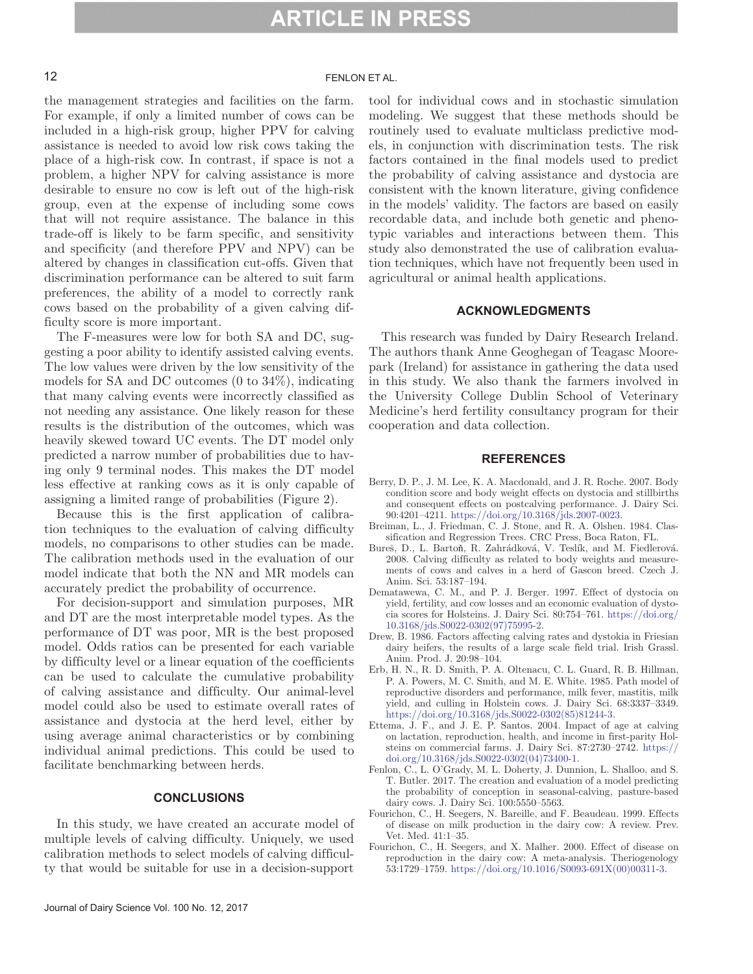#### 12 FENLON ET AL.

the management strategies and facilities on the farm. For example, if only a limited number of cows can be included in a high-risk group, higher PPV for calving assistance is needed to avoid low risk cows taking the place of a high-risk cow. In contrast, if space is not a problem, a higher NPV for calving assistance is more desirable to ensure no cow is left out of the high-risk group, even at the expense of including some cows that will not require assistance. The balance in this trade-off is likely to be farm specific, and sensitivity and specificity (and therefore PPV and NPV) can be altered by changes in classification cut-offs. Given that discrimination performance can be altered to suit farm preferences, the ability of a model to correctly rank cows based on the probability of a given calving difficulty score is more important.

The F-measures were low for both SA and DC, suggesting a poor ability to identify assisted calving events. The low values were driven by the low sensitivity of the models for SA and DC outcomes (0 to 34%), indicating that many calving events were incorrectly classified as not needing any assistance. One likely reason for these results is the distribution of the outcomes, which was heavily skewed toward UC events. The DT model only predicted a narrow number of probabilities due to having only 9 terminal nodes. This makes the DT model less effective at ranking cows as it is only capable of assigning a limited range of probabilities (Figure 2).

Because this is the first application of calibration techniques to the evaluation of calving difficulty models, no comparisons to other studies can be made. The calibration methods used in the evaluation of our model indicate that both the NN and MR models can accurately predict the probability of occurrence.

For decision-support and simulation purposes, MR and DT are the most interpretable model types. As the performance of DT was poor, MR is the best proposed model. Odds ratios can be presented for each variable by difficulty level or a linear equation of the coefficients can be used to calculate the cumulative probability of calving assistance and difficulty. Our animal-level model could also be used to estimate overall rates of assistance and dystocia at the herd level, either by using average animal characteristics or by combining individual animal predictions. This could be used to facilitate benchmarking between herds.

#### **CONCLUSIONS**

In this study, we have created an accurate model of multiple levels of calving difficulty. Uniquely, we used calibration methods to select models of calving difficulty that would be suitable for use in a decision-support

tool for individual cows and in stochastic simulation modeling. We suggest that these methods should be routinely used to evaluate multiclass predictive models, in conjunction with discrimination tests. The risk factors contained in the final models used to predict the probability of calving assistance and dystocia are consistent with the known literature, giving confidence in the models' validity. The factors are based on easily recordable data, and include both genetic and phenotypic variables and interactions between them. This study also demonstrated the use of calibration evaluation techniques, which have not frequently been used in agricultural or animal health applications.

#### **ACKNOWLEDGMENTS**

This research was funded by Dairy Research Ireland. The authors thank Anne Geoghegan of Teagasc Moorepark (Ireland) for assistance in gathering the data used in this study. We also thank the farmers involved in the University College Dublin School of Veterinary Medicine's herd fertility consultancy program for their cooperation and data collection.

#### **REFERENCES**

- Berry, D. P., J. M. Lee, K. A. Macdonald, and J. R. Roche. 2007. Body condition score and body weight effects on dystocia and stillbirths and consequent effects on postcalving performance. J. Dairy Sci. 90:4201–4211. <https://doi.org/10.3168/jds.2007-0023>.
- Breiman, L., J. Friedman, C. J. Stone, and R. A. Olshen. 1984. Classification and Regression Trees. CRC Press, Boca Raton, FL.
- Bureš, D., L. Bartoň, R. Zahrádková, V. Teslík, and M. Fiedlerová. 2008. Calving difficulty as related to body weights and measurements of cows and calves in a herd of Gascon breed. Czech J. Anim. Sci. 53:187–194.
- Dematawewa, C. M., and P. J. Berger. 1997. Effect of dystocia on yield, fertility, and cow losses and an economic evaluation of dystocia scores for Holsteins. J. Dairy Sci. 80:754–761. [https://doi.org/](https://doi.org/10.3168/jds.S0022-0302(97)75995-2) [10.3168/jds.S0022-0302\(97\)75995-2](https://doi.org/10.3168/jds.S0022-0302(97)75995-2).
- Drew, B. 1986. Factors affecting calving rates and dystokia in Friesian dairy heifers, the results of a large scale field trial. Irish Grassl. Anim. Prod. J. 20:98–104.
- Erb, H. N., R. D. Smith, P. A. Oltenacu, C. L. Guard, R. B. Hillman, P. A. Powers, M. C. Smith, and M. E. White. 1985. Path model of reproductive disorders and performance, milk fever, mastitis, milk yield, and culling in Holstein cows. J. Dairy Sci. 68:3337–3349. [https://doi.org/10.3168/jds.S0022-0302\(85\)81244-3](https://doi.org/10.3168/jds.S0022-0302(85)81244-3).
- Ettema, J. F., and J. E. P. Santos. 2004. Impact of age at calving on lactation, reproduction, health, and income in first-parity Holsteins on commercial farms. J. Dairy Sci. 87:2730–2742. [https://](https://doi.org/10.3168/jds.S0022-0302(04)73400-1) [doi.org/10.3168/jds.S0022-0302\(04\)73400-1](https://doi.org/10.3168/jds.S0022-0302(04)73400-1).
- Fenlon, C., L. O'Grady, M. L. Doherty, J. Dunnion, L. Shalloo, and S. T. Butler. 2017. The creation and evaluation of a model predicting the probability of conception in seasonal-calving, pasture-based dairy cows. J. Dairy Sci. 100:5550–5563.
- Fourichon, C., H. Seegers, N. Bareille, and F. Beaudeau. 1999. Effects of disease on milk production in the dairy cow: A review. Prev. Vet. Med. 41:1–35.
- Fourichon, C., H. Seegers, and X. Malher. 2000. Effect of disease on reproduction in the dairy cow: A meta-analysis. Theriogenology 53:1729–1759. [https://doi.org/10.1016/S0093-691X\(00\)00311-3](https://doi.org/10.1016/S0093-691X(00)00311-3).